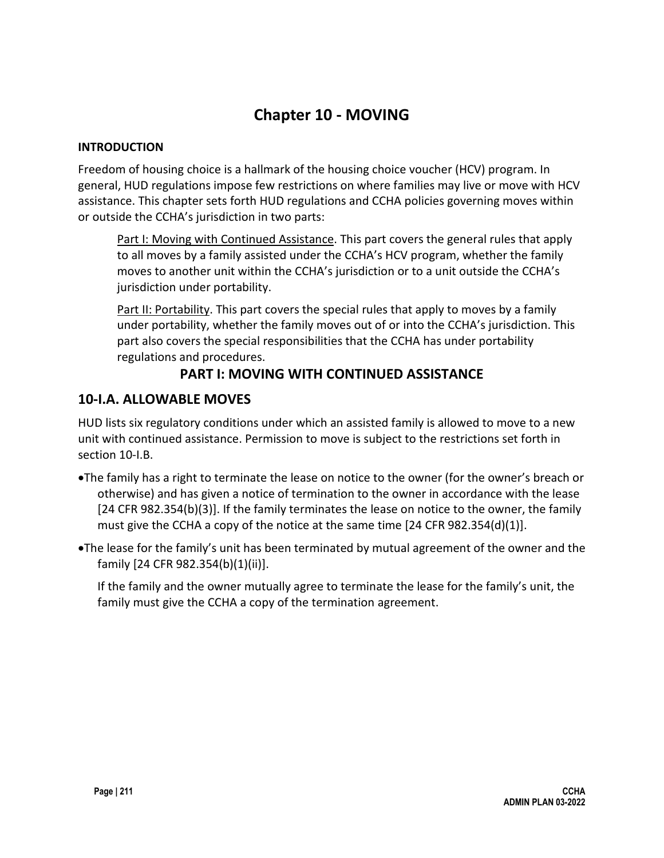# **Chapter 10 - MOVING**

#### **INTRODUCTION**

Freedom of housing choice is a hallmark of the housing choice voucher (HCV) program. In general, HUD regulations impose few restrictions on where families may live or move with HCV assistance. This chapter sets forth HUD regulations and CCHA policies governing moves within or outside the CCHA's jurisdiction in two parts:

Part I: Moving with Continued Assistance. This part covers the general rules that apply to all moves by a family assisted under the CCHA's HCV program, whether the family moves to another unit within the CCHA's jurisdiction or to a unit outside the CCHA's jurisdiction under portability.

Part II: Portability. This part covers the special rules that apply to moves by a family under portability, whether the family moves out of or into the CCHA's jurisdiction. This part also covers the special responsibilities that the CCHA has under portability regulations and procedures.

# **PART I: MOVING WITH CONTINUED ASSISTANCE**

# **10-I.A. ALLOWABLE MOVES**

HUD lists six regulatory conditions under which an assisted family is allowed to move to a new unit with continued assistance. Permission to move is subject to the restrictions set forth in section 10-I.B.

- •The family has a right to terminate the lease on notice to the owner (for the owner's breach or otherwise) and has given a notice of termination to the owner in accordance with the lease [24 CFR 982.354(b)(3)]. If the family terminates the lease on notice to the owner, the family must give the CCHA a copy of the notice at the same time [24 CFR 982.354(d)(1)].
- •The lease for the family's unit has been terminated by mutual agreement of the owner and the family [24 CFR 982.354(b)(1)(ii)].

If the family and the owner mutually agree to terminate the lease for the family's unit, the family must give the CCHA a copy of the termination agreement.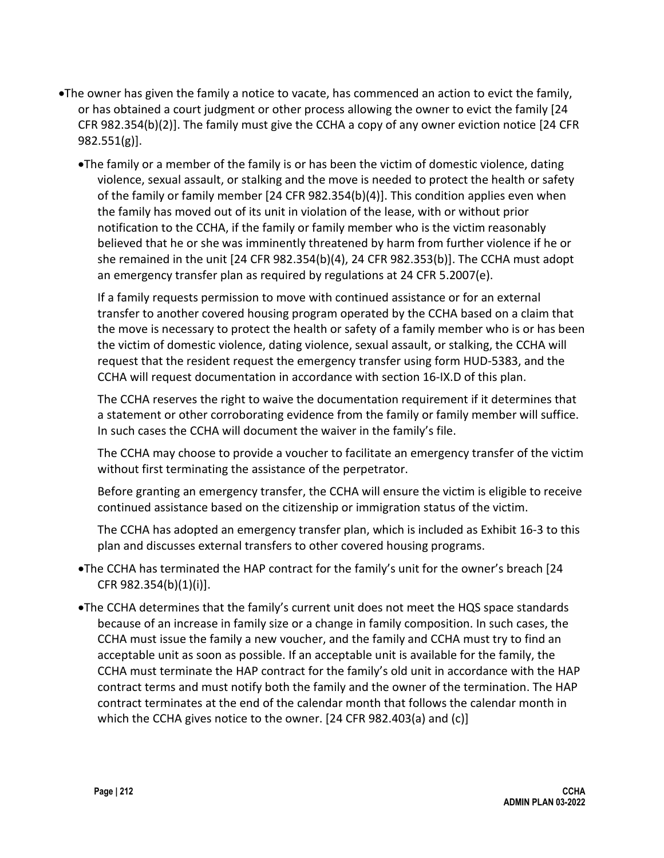- •The owner has given the family a notice to vacate, has commenced an action to evict the family, or has obtained a court judgment or other process allowing the owner to evict the family [24 CFR 982.354(b)(2)]. The family must give the CCHA a copy of any owner eviction notice [24 CFR 982.551(g)].
	- •The family or a member of the family is or has been the victim of domestic violence, dating violence, sexual assault, or stalking and the move is needed to protect the health or safety of the family or family member [24 CFR 982.354(b)(4)]. This condition applies even when the family has moved out of its unit in violation of the lease, with or without prior notification to the CCHA, if the family or family member who is the victim reasonably believed that he or she was imminently threatened by harm from further violence if he or she remained in the unit [24 CFR 982.354(b)(4), 24 CFR 982.353(b)]. The CCHA must adopt an emergency transfer plan as required by regulations at 24 CFR 5.2007(e).

If a family requests permission to move with continued assistance or for an external transfer to another covered housing program operated by the CCHA based on a claim that the move is necessary to protect the health or safety of a family member who is or has been the victim of domestic violence, dating violence, sexual assault, or stalking, the CCHA will request that the resident request the emergency transfer using form HUD-5383, and the CCHA will request documentation in accordance with section 16-IX.D of this plan.

The CCHA reserves the right to waive the documentation requirement if it determines that a statement or other corroborating evidence from the family or family member will suffice. In such cases the CCHA will document the waiver in the family's file.

The CCHA may choose to provide a voucher to facilitate an emergency transfer of the victim without first terminating the assistance of the perpetrator.

Before granting an emergency transfer, the CCHA will ensure the victim is eligible to receive continued assistance based on the citizenship or immigration status of the victim.

The CCHA has adopted an emergency transfer plan, which is included as Exhibit 16-3 to this plan and discusses external transfers to other covered housing programs.

- •The CCHA has terminated the HAP contract for the family's unit for the owner's breach [24 CFR 982.354(b)(1)(i)].
- •The CCHA determines that the family's current unit does not meet the HQS space standards because of an increase in family size or a change in family composition. In such cases, the CCHA must issue the family a new voucher, and the family and CCHA must try to find an acceptable unit as soon as possible. If an acceptable unit is available for the family, the CCHA must terminate the HAP contract for the family's old unit in accordance with the HAP contract terms and must notify both the family and the owner of the termination. The HAP contract terminates at the end of the calendar month that follows the calendar month in which the CCHA gives notice to the owner. [24 CFR 982.403(a) and (c)]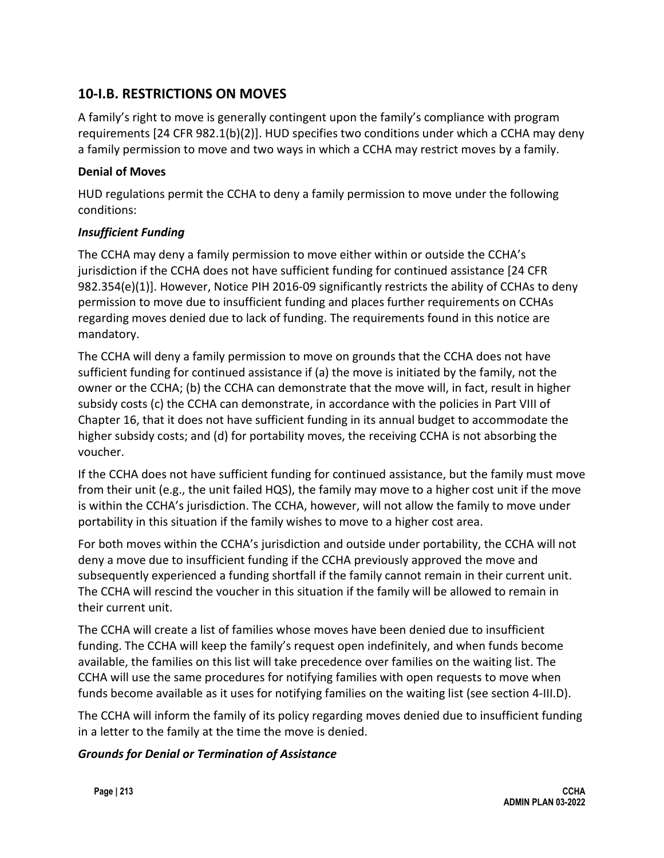# **10-I.B. RESTRICTIONS ON MOVES**

A family's right to move is generally contingent upon the family's compliance with program requirements [24 CFR 982.1(b)(2)]. HUD specifies two conditions under which a CCHA may deny a family permission to move and two ways in which a CCHA may restrict moves by a family.

#### **Denial of Moves**

HUD regulations permit the CCHA to deny a family permission to move under the following conditions:

#### *Insufficient Funding*

The CCHA may deny a family permission to move either within or outside the CCHA's jurisdiction if the CCHA does not have sufficient funding for continued assistance [24 CFR 982.354(e)(1)]. However, Notice PIH 2016-09 significantly restricts the ability of CCHAs to deny permission to move due to insufficient funding and places further requirements on CCHAs regarding moves denied due to lack of funding. The requirements found in this notice are mandatory.

The CCHA will deny a family permission to move on grounds that the CCHA does not have sufficient funding for continued assistance if (a) the move is initiated by the family, not the owner or the CCHA; (b) the CCHA can demonstrate that the move will, in fact, result in higher subsidy costs (c) the CCHA can demonstrate, in accordance with the policies in Part VIII of Chapter 16, that it does not have sufficient funding in its annual budget to accommodate the higher subsidy costs; and (d) for portability moves, the receiving CCHA is not absorbing the voucher.

If the CCHA does not have sufficient funding for continued assistance, but the family must move from their unit (e.g., the unit failed HQS), the family may move to a higher cost unit if the move is within the CCHA's jurisdiction. The CCHA, however, will not allow the family to move under portability in this situation if the family wishes to move to a higher cost area.

For both moves within the CCHA's jurisdiction and outside under portability, the CCHA will not deny a move due to insufficient funding if the CCHA previously approved the move and subsequently experienced a funding shortfall if the family cannot remain in their current unit. The CCHA will rescind the voucher in this situation if the family will be allowed to remain in their current unit.

The CCHA will create a list of families whose moves have been denied due to insufficient funding. The CCHA will keep the family's request open indefinitely, and when funds become available, the families on this list will take precedence over families on the waiting list. The CCHA will use the same procedures for notifying families with open requests to move when funds become available as it uses for notifying families on the waiting list (see section 4-III.D).

The CCHA will inform the family of its policy regarding moves denied due to insufficient funding in a letter to the family at the time the move is denied.

#### *Grounds for Denial or Termination of Assistance*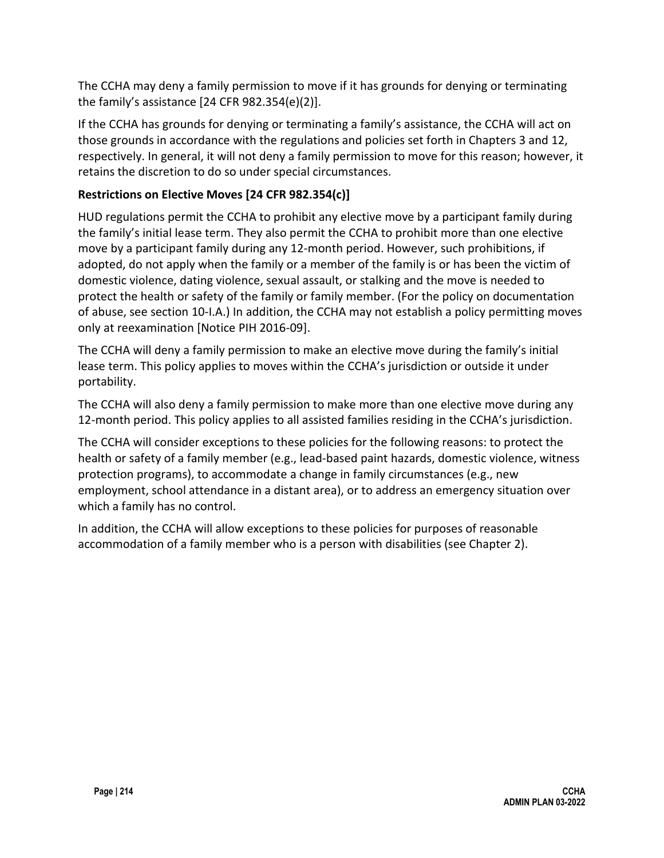The CCHA may deny a family permission to move if it has grounds for denying or terminating the family's assistance [24 CFR 982.354(e)(2)].

If the CCHA has grounds for denying or terminating a family's assistance, the CCHA will act on those grounds in accordance with the regulations and policies set forth in Chapters 3 and 12, respectively. In general, it will not deny a family permission to move for this reason; however, it retains the discretion to do so under special circumstances.

### **Restrictions on Elective Moves [24 CFR 982.354(c)]**

HUD regulations permit the CCHA to prohibit any elective move by a participant family during the family's initial lease term. They also permit the CCHA to prohibit more than one elective move by a participant family during any 12-month period. However, such prohibitions, if adopted, do not apply when the family or a member of the family is or has been the victim of domestic violence, dating violence, sexual assault, or stalking and the move is needed to protect the health or safety of the family or family member. (For the policy on documentation of abuse, see section 10-I.A.) In addition, the CCHA may not establish a policy permitting moves only at reexamination [Notice PIH 2016-09].

The CCHA will deny a family permission to make an elective move during the family's initial lease term. This policy applies to moves within the CCHA's jurisdiction or outside it under portability.

The CCHA will also deny a family permission to make more than one elective move during any 12-month period. This policy applies to all assisted families residing in the CCHA's jurisdiction.

The CCHA will consider exceptions to these policies for the following reasons: to protect the health or safety of a family member (e.g., lead-based paint hazards, domestic violence, witness protection programs), to accommodate a change in family circumstances (e.g., new employment, school attendance in a distant area), or to address an emergency situation over which a family has no control.

In addition, the CCHA will allow exceptions to these policies for purposes of reasonable accommodation of a family member who is a person with disabilities (see Chapter 2).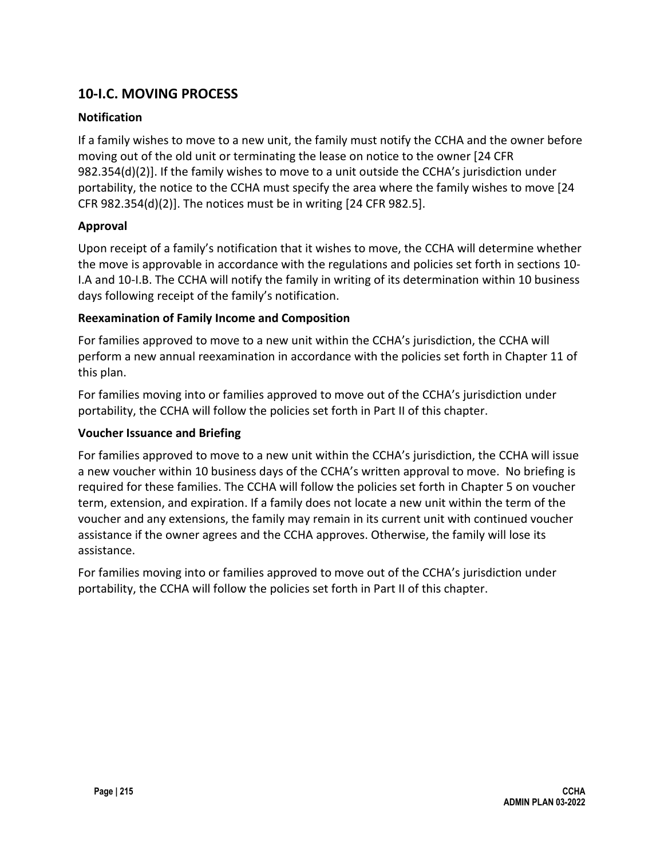# **10-I.C. MOVING PROCESS**

#### **Notification**

If a family wishes to move to a new unit, the family must notify the CCHA and the owner before moving out of the old unit or terminating the lease on notice to the owner [24 CFR 982.354(d)(2)]. If the family wishes to move to a unit outside the CCHA's jurisdiction under portability, the notice to the CCHA must specify the area where the family wishes to move [24 CFR 982.354(d)(2)]. The notices must be in writing [24 CFR 982.5].

#### **Approval**

Upon receipt of a family's notification that it wishes to move, the CCHA will determine whether the move is approvable in accordance with the regulations and policies set forth in sections 10- I.A and 10-I.B. The CCHA will notify the family in writing of its determination within 10 business days following receipt of the family's notification.

#### **Reexamination of Family Income and Composition**

For families approved to move to a new unit within the CCHA's jurisdiction, the CCHA will perform a new annual reexamination in accordance with the policies set forth in Chapter 11 of this plan.

For families moving into or families approved to move out of the CCHA's jurisdiction under portability, the CCHA will follow the policies set forth in Part II of this chapter.

#### **Voucher Issuance and Briefing**

For families approved to move to a new unit within the CCHA's jurisdiction, the CCHA will issue a new voucher within 10 business days of the CCHA's written approval to move. No briefing is required for these families. The CCHA will follow the policies set forth in Chapter 5 on voucher term, extension, and expiration. If a family does not locate a new unit within the term of the voucher and any extensions, the family may remain in its current unit with continued voucher assistance if the owner agrees and the CCHA approves. Otherwise, the family will lose its assistance.

For families moving into or families approved to move out of the CCHA's jurisdiction under portability, the CCHA will follow the policies set forth in Part II of this chapter.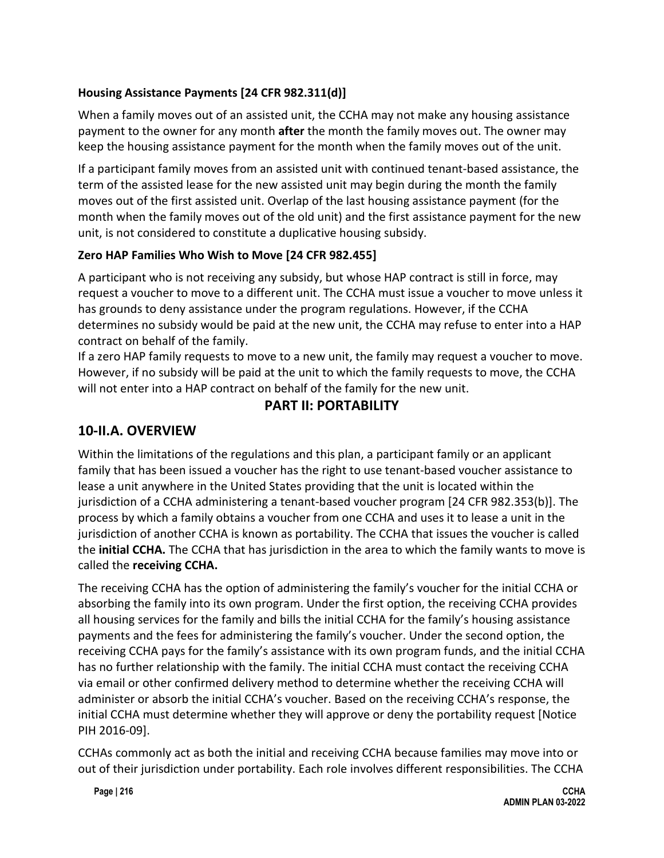### **Housing Assistance Payments [24 CFR 982.311(d)]**

When a family moves out of an assisted unit, the CCHA may not make any housing assistance payment to the owner for any month **after** the month the family moves out. The owner may keep the housing assistance payment for the month when the family moves out of the unit.

If a participant family moves from an assisted unit with continued tenant-based assistance, the term of the assisted lease for the new assisted unit may begin during the month the family moves out of the first assisted unit. Overlap of the last housing assistance payment (for the month when the family moves out of the old unit) and the first assistance payment for the new unit, is not considered to constitute a duplicative housing subsidy.

#### **Zero HAP Families Who Wish to Move [24 CFR 982.455]**

A participant who is not receiving any subsidy, but whose HAP contract is still in force, may request a voucher to move to a different unit. The CCHA must issue a voucher to move unless it has grounds to deny assistance under the program regulations. However, if the CCHA determines no subsidy would be paid at the new unit, the CCHA may refuse to enter into a HAP contract on behalf of the family.

If a zero HAP family requests to move to a new unit, the family may request a voucher to move. However, if no subsidy will be paid at the unit to which the family requests to move, the CCHA will not enter into a HAP contract on behalf of the family for the new unit.

# **PART II: PORTABILITY**

# **10-II.A. OVERVIEW**

Within the limitations of the regulations and this plan, a participant family or an applicant family that has been issued a voucher has the right to use tenant-based voucher assistance to lease a unit anywhere in the United States providing that the unit is located within the jurisdiction of a CCHA administering a tenant-based voucher program [24 CFR 982.353(b)]. The process by which a family obtains a voucher from one CCHA and uses it to lease a unit in the jurisdiction of another CCHA is known as portability. The CCHA that issues the voucher is called the **initial CCHA.** The CCHA that has jurisdiction in the area to which the family wants to move is called the **receiving CCHA.**

The receiving CCHA has the option of administering the family's voucher for the initial CCHA or absorbing the family into its own program. Under the first option, the receiving CCHA provides all housing services for the family and bills the initial CCHA for the family's housing assistance payments and the fees for administering the family's voucher. Under the second option, the receiving CCHA pays for the family's assistance with its own program funds, and the initial CCHA has no further relationship with the family. The initial CCHA must contact the receiving CCHA via email or other confirmed delivery method to determine whether the receiving CCHA will administer or absorb the initial CCHA's voucher. Based on the receiving CCHA's response, the initial CCHA must determine whether they will approve or deny the portability request [Notice PIH 2016-09].

CCHAs commonly act as both the initial and receiving CCHA because families may move into or out of their jurisdiction under portability. Each role involves different responsibilities. The CCHA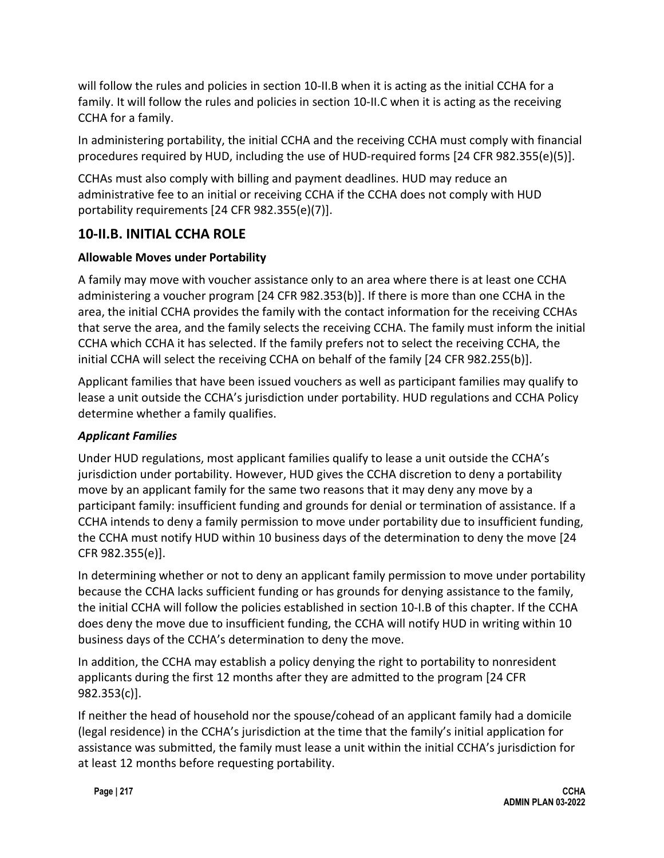will follow the rules and policies in section 10-II.B when it is acting as the initial CCHA for a family. It will follow the rules and policies in section 10-II.C when it is acting as the receiving CCHA for a family.

In administering portability, the initial CCHA and the receiving CCHA must comply with financial procedures required by HUD, including the use of HUD-required forms [24 CFR 982.355(e)(5)].

CCHAs must also comply with billing and payment deadlines. HUD may reduce an administrative fee to an initial or receiving CCHA if the CCHA does not comply with HUD portability requirements [24 CFR 982.355(e)(7)].

# **10-II.B. INITIAL CCHA ROLE**

#### **Allowable Moves under Portability**

A family may move with voucher assistance only to an area where there is at least one CCHA administering a voucher program [24 CFR 982.353(b)]. If there is more than one CCHA in the area, the initial CCHA provides the family with the contact information for the receiving CCHAs that serve the area, and the family selects the receiving CCHA. The family must inform the initial CCHA which CCHA it has selected. If the family prefers not to select the receiving CCHA, the initial CCHA will select the receiving CCHA on behalf of the family [24 CFR 982.255(b)].

Applicant families that have been issued vouchers as well as participant families may qualify to lease a unit outside the CCHA's jurisdiction under portability. HUD regulations and CCHA Policy determine whether a family qualifies.

#### *Applicant Families*

Under HUD regulations, most applicant families qualify to lease a unit outside the CCHA's jurisdiction under portability. However, HUD gives the CCHA discretion to deny a portability move by an applicant family for the same two reasons that it may deny any move by a participant family: insufficient funding and grounds for denial or termination of assistance. If a CCHA intends to deny a family permission to move under portability due to insufficient funding, the CCHA must notify HUD within 10 business days of the determination to deny the move [24 CFR 982.355(e)].

In determining whether or not to deny an applicant family permission to move under portability because the CCHA lacks sufficient funding or has grounds for denying assistance to the family, the initial CCHA will follow the policies established in section 10-I.B of this chapter. If the CCHA does deny the move due to insufficient funding, the CCHA will notify HUD in writing within 10 business days of the CCHA's determination to deny the move.

In addition, the CCHA may establish a policy denying the right to portability to nonresident applicants during the first 12 months after they are admitted to the program [24 CFR 982.353(c)].

If neither the head of household nor the spouse/cohead of an applicant family had a domicile (legal residence) in the CCHA's jurisdiction at the time that the family's initial application for assistance was submitted, the family must lease a unit within the initial CCHA's jurisdiction for at least 12 months before requesting portability.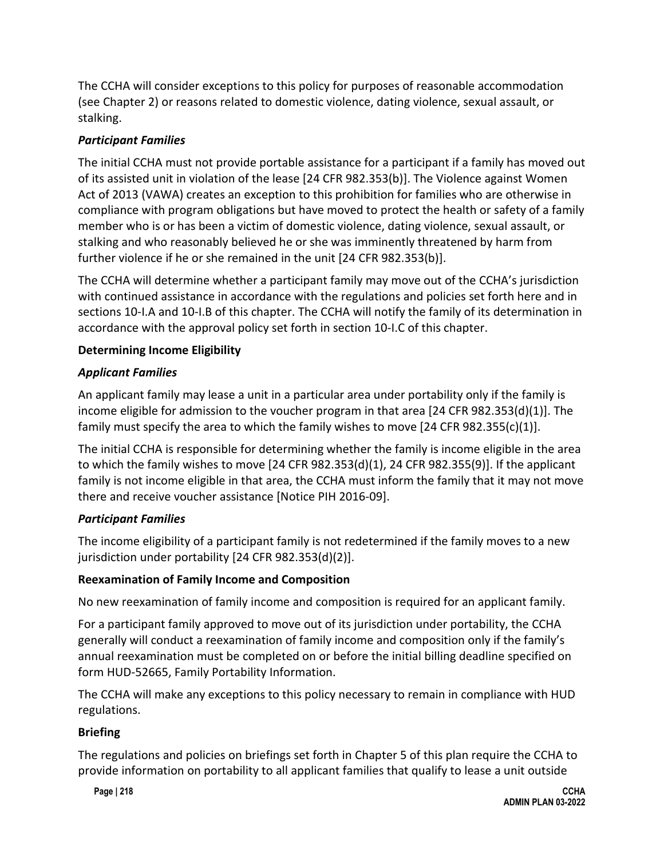The CCHA will consider exceptions to this policy for purposes of reasonable accommodation (see Chapter 2) or reasons related to domestic violence, dating violence, sexual assault, or stalking.

#### *Participant Families*

The initial CCHA must not provide portable assistance for a participant if a family has moved out of its assisted unit in violation of the lease [24 CFR 982.353(b)]. The Violence against Women Act of 2013 (VAWA) creates an exception to this prohibition for families who are otherwise in compliance with program obligations but have moved to protect the health or safety of a family member who is or has been a victim of domestic violence, dating violence, sexual assault, or stalking and who reasonably believed he or she was imminently threatened by harm from further violence if he or she remained in the unit [24 CFR 982.353(b)].

The CCHA will determine whether a participant family may move out of the CCHA's jurisdiction with continued assistance in accordance with the regulations and policies set forth here and in sections 10-I.A and 10-I.B of this chapter. The CCHA will notify the family of its determination in accordance with the approval policy set forth in section 10-I.C of this chapter.

#### **Determining Income Eligibility**

#### *Applicant Families*

An applicant family may lease a unit in a particular area under portability only if the family is income eligible for admission to the voucher program in that area [24 CFR 982.353(d)(1)]. The family must specify the area to which the family wishes to move  $[24 \text{ CFR } 982.355(c)(1)].$ 

The initial CCHA is responsible for determining whether the family is income eligible in the area to which the family wishes to move [24 CFR 982.353(d)(1), 24 CFR 982.355(9)]. If the applicant family is not income eligible in that area, the CCHA must inform the family that it may not move there and receive voucher assistance [Notice PIH 2016-09].

#### *Participant Families*

The income eligibility of a participant family is not redetermined if the family moves to a new jurisdiction under portability [24 CFR 982.353(d)(2)].

#### **Reexamination of Family Income and Composition**

No new reexamination of family income and composition is required for an applicant family.

For a participant family approved to move out of its jurisdiction under portability, the CCHA generally will conduct a reexamination of family income and composition only if the family's annual reexamination must be completed on or before the initial billing deadline specified on form HUD-52665, Family Portability Information.

The CCHA will make any exceptions to this policy necessary to remain in compliance with HUD regulations.

#### **Briefing**

The regulations and policies on briefings set forth in Chapter 5 of this plan require the CCHA to provide information on portability to all applicant families that qualify to lease a unit outside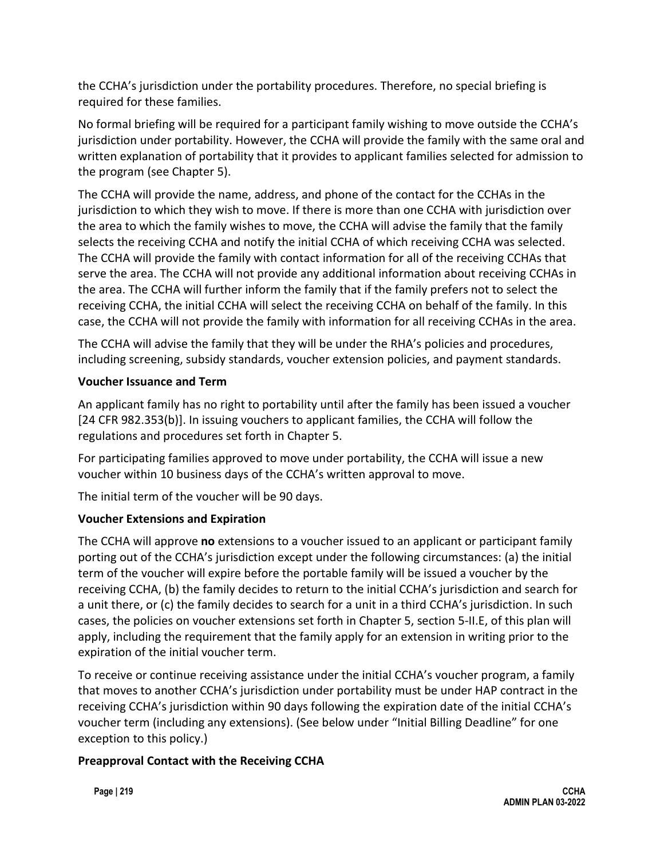the CCHA's jurisdiction under the portability procedures. Therefore, no special briefing is required for these families.

No formal briefing will be required for a participant family wishing to move outside the CCHA's jurisdiction under portability. However, the CCHA will provide the family with the same oral and written explanation of portability that it provides to applicant families selected for admission to the program (see Chapter 5).

The CCHA will provide the name, address, and phone of the contact for the CCHAs in the jurisdiction to which they wish to move. If there is more than one CCHA with jurisdiction over the area to which the family wishes to move, the CCHA will advise the family that the family selects the receiving CCHA and notify the initial CCHA of which receiving CCHA was selected. The CCHA will provide the family with contact information for all of the receiving CCHAs that serve the area. The CCHA will not provide any additional information about receiving CCHAs in the area. The CCHA will further inform the family that if the family prefers not to select the receiving CCHA, the initial CCHA will select the receiving CCHA on behalf of the family. In this case, the CCHA will not provide the family with information for all receiving CCHAs in the area.

The CCHA will advise the family that they will be under the RHA's policies and procedures, including screening, subsidy standards, voucher extension policies, and payment standards.

#### **Voucher Issuance and Term**

An applicant family has no right to portability until after the family has been issued a voucher [24 CFR 982.353(b)]. In issuing vouchers to applicant families, the CCHA will follow the regulations and procedures set forth in Chapter 5.

For participating families approved to move under portability, the CCHA will issue a new voucher within 10 business days of the CCHA's written approval to move.

The initial term of the voucher will be 90 days.

### **Voucher Extensions and Expiration**

The CCHA will approve **no** extensions to a voucher issued to an applicant or participant family porting out of the CCHA's jurisdiction except under the following circumstances: (a) the initial term of the voucher will expire before the portable family will be issued a voucher by the receiving CCHA, (b) the family decides to return to the initial CCHA's jurisdiction and search for a unit there, or (c) the family decides to search for a unit in a third CCHA's jurisdiction. In such cases, the policies on voucher extensions set forth in Chapter 5, section 5-II.E, of this plan will apply, including the requirement that the family apply for an extension in writing prior to the expiration of the initial voucher term.

To receive or continue receiving assistance under the initial CCHA's voucher program, a family that moves to another CCHA's jurisdiction under portability must be under HAP contract in the receiving CCHA's jurisdiction within 90 days following the expiration date of the initial CCHA's voucher term (including any extensions). (See below under "Initial Billing Deadline" for one exception to this policy.)

#### **Preapproval Contact with the Receiving CCHA**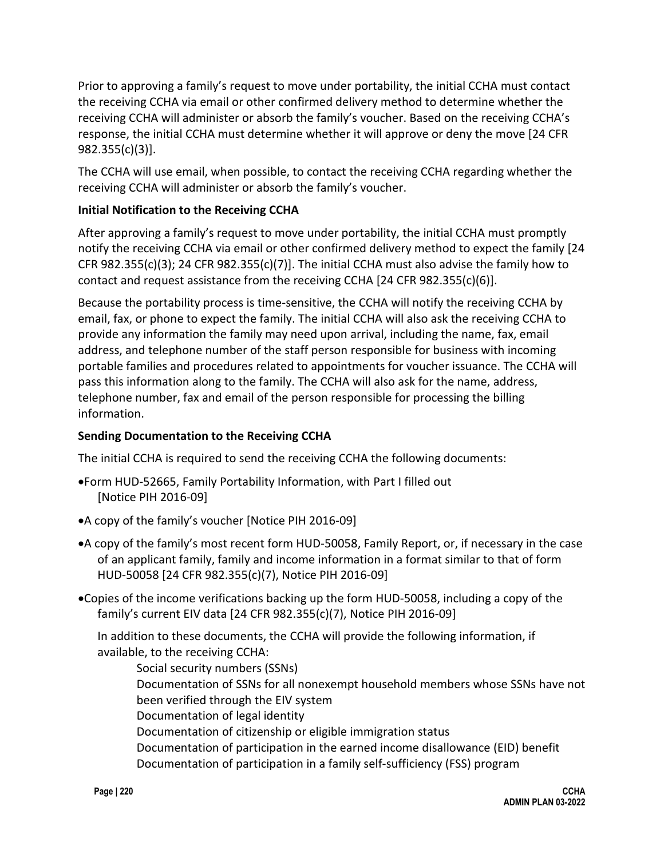Prior to approving a family's request to move under portability, the initial CCHA must contact the receiving CCHA via email or other confirmed delivery method to determine whether the receiving CCHA will administer or absorb the family's voucher. Based on the receiving CCHA's response, the initial CCHA must determine whether it will approve or deny the move [24 CFR 982.355(c)(3)].

The CCHA will use email, when possible, to contact the receiving CCHA regarding whether the receiving CCHA will administer or absorb the family's voucher.

#### **Initial Notification to the Receiving CCHA**

After approving a family's request to move under portability, the initial CCHA must promptly notify the receiving CCHA via email or other confirmed delivery method to expect the family [24 CFR 982.355(c)(3); 24 CFR 982.355(c)(7)]. The initial CCHA must also advise the family how to contact and request assistance from the receiving CCHA  $[24$  CFR  $982.355(c)(6)]$ .

Because the portability process is time-sensitive, the CCHA will notify the receiving CCHA by email, fax, or phone to expect the family. The initial CCHA will also ask the receiving CCHA to provide any information the family may need upon arrival, including the name, fax, email address, and telephone number of the staff person responsible for business with incoming portable families and procedures related to appointments for voucher issuance. The CCHA will pass this information along to the family. The CCHA will also ask for the name, address, telephone number, fax and email of the person responsible for processing the billing information.

#### **Sending Documentation to the Receiving CCHA**

The initial CCHA is required to send the receiving CCHA the following documents:

- •Form HUD-52665, Family Portability Information, with Part I filled out [Notice PIH 2016-09]
- •A copy of the family's voucher [Notice PIH 2016-09]
- •A copy of the family's most recent form HUD-50058, Family Report, or, if necessary in the case of an applicant family, family and income information in a format similar to that of form HUD-50058 [24 CFR 982.355(c)(7), Notice PIH 2016-09]
- •Copies of the income verifications backing up the form HUD-50058, including a copy of the family's current EIV data [24 CFR 982.355(c)(7), Notice PIH 2016-09]

In addition to these documents, the CCHA will provide the following information, if available, to the receiving CCHA:

Social security numbers (SSNs) Documentation of SSNs for all nonexempt household members whose SSNs have not been verified through the EIV system Documentation of legal identity Documentation of citizenship or eligible immigration status Documentation of participation in the earned income disallowance (EID) benefit Documentation of participation in a family self-sufficiency (FSS) program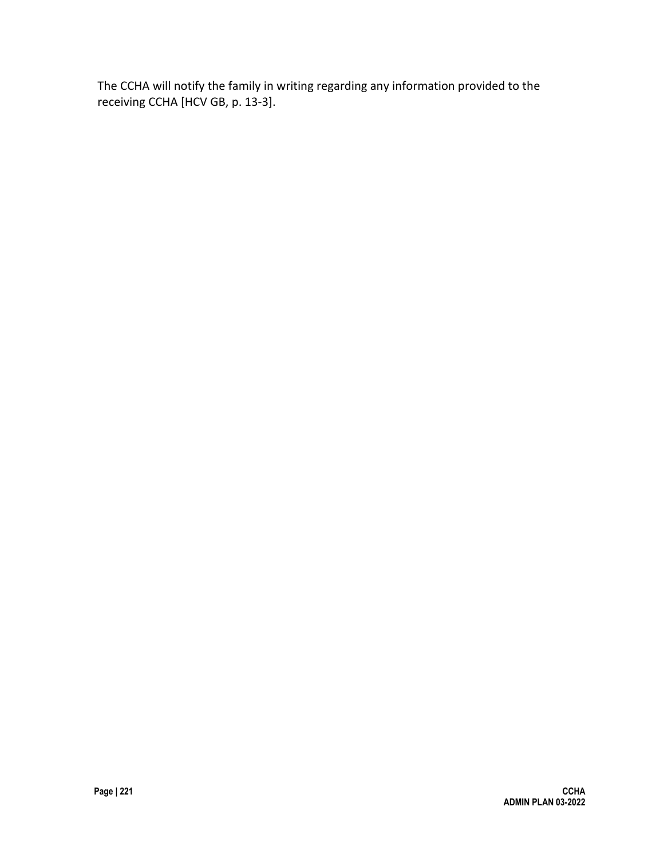The CCHA will notify the family in writing regarding any information provided to the receiving CCHA [HCV GB, p. 13-3].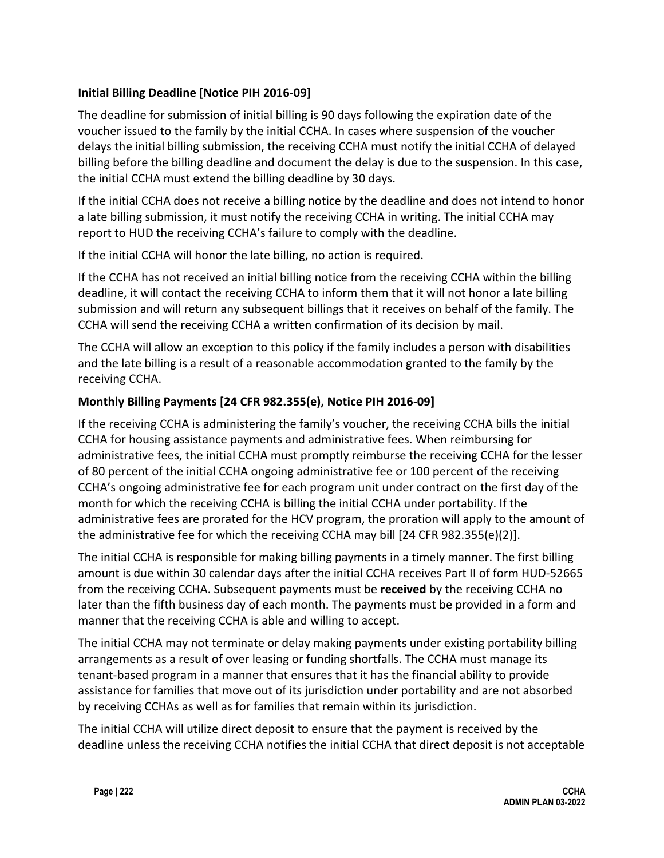#### **Initial Billing Deadline [Notice PIH 2016-09]**

The deadline for submission of initial billing is 90 days following the expiration date of the voucher issued to the family by the initial CCHA. In cases where suspension of the voucher delays the initial billing submission, the receiving CCHA must notify the initial CCHA of delayed billing before the billing deadline and document the delay is due to the suspension. In this case, the initial CCHA must extend the billing deadline by 30 days.

If the initial CCHA does not receive a billing notice by the deadline and does not intend to honor a late billing submission, it must notify the receiving CCHA in writing. The initial CCHA may report to HUD the receiving CCHA's failure to comply with the deadline.

If the initial CCHA will honor the late billing, no action is required.

If the CCHA has not received an initial billing notice from the receiving CCHA within the billing deadline, it will contact the receiving CCHA to inform them that it will not honor a late billing submission and will return any subsequent billings that it receives on behalf of the family. The CCHA will send the receiving CCHA a written confirmation of its decision by mail.

The CCHA will allow an exception to this policy if the family includes a person with disabilities and the late billing is a result of a reasonable accommodation granted to the family by the receiving CCHA.

#### **Monthly Billing Payments [24 CFR 982.355(e), Notice PIH 2016-09]**

If the receiving CCHA is administering the family's voucher, the receiving CCHA bills the initial CCHA for housing assistance payments and administrative fees. When reimbursing for administrative fees, the initial CCHA must promptly reimburse the receiving CCHA for the lesser of 80 percent of the initial CCHA ongoing administrative fee or 100 percent of the receiving CCHA's ongoing administrative fee for each program unit under contract on the first day of the month for which the receiving CCHA is billing the initial CCHA under portability. If the administrative fees are prorated for the HCV program, the proration will apply to the amount of the administrative fee for which the receiving CCHA may bill [24 CFR 982.355(e)(2)].

The initial CCHA is responsible for making billing payments in a timely manner. The first billing amount is due within 30 calendar days after the initial CCHA receives Part II of form HUD-52665 from the receiving CCHA. Subsequent payments must be **received** by the receiving CCHA no later than the fifth business day of each month. The payments must be provided in a form and manner that the receiving CCHA is able and willing to accept.

The initial CCHA may not terminate or delay making payments under existing portability billing arrangements as a result of over leasing or funding shortfalls. The CCHA must manage its tenant-based program in a manner that ensures that it has the financial ability to provide assistance for families that move out of its jurisdiction under portability and are not absorbed by receiving CCHAs as well as for families that remain within its jurisdiction.

The initial CCHA will utilize direct deposit to ensure that the payment is received by the deadline unless the receiving CCHA notifies the initial CCHA that direct deposit is not acceptable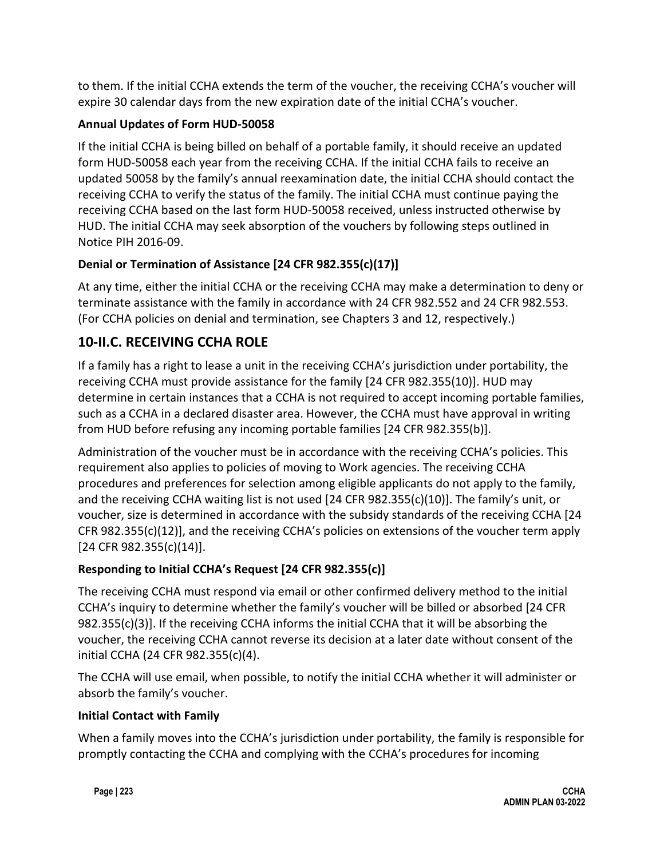to them. If the initial CCHA extends the term of the voucher, the receiving CCHA's voucher will expire 30 calendar days from the new expiration date of the initial CCHA's voucher.

# **Annual Updates of Form HUD-50058**

If the initial CCHA is being billed on behalf of a portable family, it should receive an updated form HUD-50058 each year from the receiving CCHA. If the initial CCHA fails to receive an updated 50058 by the family's annual reexamination date, the initial CCHA should contact the receiving CCHA to verify the status of the family. The initial CCHA must continue paying the receiving CCHA based on the last form HUD-50058 received, unless instructed otherwise by HUD. The initial CCHA may seek absorption of the vouchers by following steps outlined in Notice PIH 2016-09.

# **Denial or Termination of Assistance [24 CFR 982.355(c)(17)]**

At any time, either the initial CCHA or the receiving CCHA may make a determination to deny or terminate assistance with the family in accordance with 24 CFR 982.552 and 24 CFR 982.553. (For CCHA policies on denial and termination, see Chapters 3 and 12, respectively.)

# **10-II.C. RECEIVING CCHA ROLE**

If a family has a right to lease a unit in the receiving CCHA's jurisdiction under portability, the receiving CCHA must provide assistance for the family [24 CFR 982.355(10)]. HUD may determine in certain instances that a CCHA is not required to accept incoming portable families, such as a CCHA in a declared disaster area. However, the CCHA must have approval in writing from HUD before refusing any incoming portable families [24 CFR 982.355(b)].

Administration of the voucher must be in accordance with the receiving CCHA's policies. This requirement also applies to policies of moving to Work agencies. The receiving CCHA procedures and preferences for selection among eligible applicants do not apply to the family, and the receiving CCHA waiting list is not used [24 CFR 982.355(c)(10)]. The family's unit, or voucher, size is determined in accordance with the subsidy standards of the receiving CCHA [24 CFR 982.355(c)(12)], and the receiving CCHA's policies on extensions of the voucher term apply [24 CFR 982.355(c)(14)].

# **Responding to Initial CCHA's Request [24 CFR 982.355(c)]**

The receiving CCHA must respond via email or other confirmed delivery method to the initial CCHA's inquiry to determine whether the family's voucher will be billed or absorbed [24 CFR 982.355(c)(3)]. If the receiving CCHA informs the initial CCHA that it will be absorbing the voucher, the receiving CCHA cannot reverse its decision at a later date without consent of the initial CCHA (24 CFR 982.355(c)(4).

The CCHA will use email, when possible, to notify the initial CCHA whether it will administer or absorb the family's voucher.

### **Initial Contact with Family**

When a family moves into the CCHA's jurisdiction under portability, the family is responsible for promptly contacting the CCHA and complying with the CCHA's procedures for incoming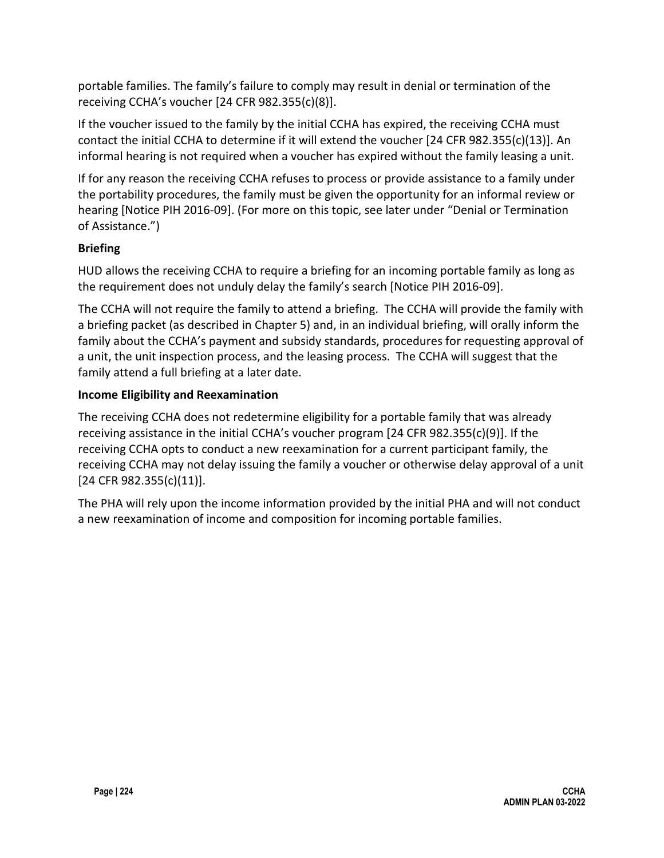portable families. The family's failure to comply may result in denial or termination of the receiving CCHA's voucher [24 CFR 982.355(c)(8)].

If the voucher issued to the family by the initial CCHA has expired, the receiving CCHA must contact the initial CCHA to determine if it will extend the voucher [24 CFR 982.355(c)(13)]. An informal hearing is not required when a voucher has expired without the family leasing a unit.

If for any reason the receiving CCHA refuses to process or provide assistance to a family under the portability procedures, the family must be given the opportunity for an informal review or hearing [Notice PIH 2016-09]. (For more on this topic, see later under "Denial or Termination of Assistance.")

#### **Briefing**

HUD allows the receiving CCHA to require a briefing for an incoming portable family as long as the requirement does not unduly delay the family's search [Notice PIH 2016-09].

The CCHA will not require the family to attend a briefing. The CCHA will provide the family with a briefing packet (as described in Chapter 5) and, in an individual briefing, will orally inform the family about the CCHA's payment and subsidy standards, procedures for requesting approval of a unit, the unit inspection process, and the leasing process. The CCHA will suggest that the family attend a full briefing at a later date.

#### **Income Eligibility and Reexamination**

The receiving CCHA does not redetermine eligibility for a portable family that was already receiving assistance in the initial CCHA's voucher program [24 CFR 982.355(c)(9)]. If the receiving CCHA opts to conduct a new reexamination for a current participant family, the receiving CCHA may not delay issuing the family a voucher or otherwise delay approval of a unit [24 CFR 982.355(c)(11)].

The PHA will rely upon the income information provided by the initial PHA and will not conduct a new reexamination of income and composition for incoming portable families.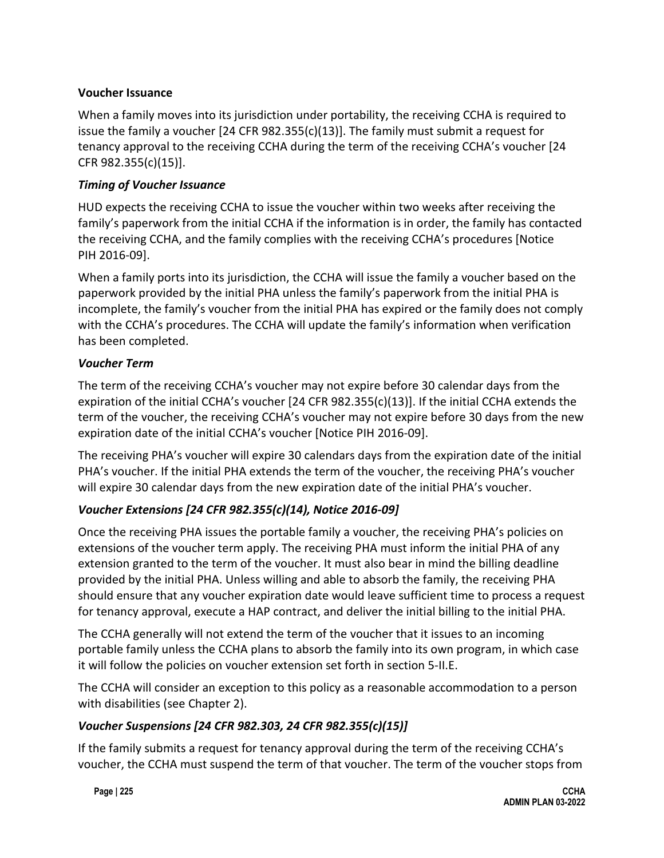#### **Voucher Issuance**

When a family moves into its jurisdiction under portability, the receiving CCHA is required to issue the family a voucher [24 CFR 982.355(c)(13)]. The family must submit a request for tenancy approval to the receiving CCHA during the term of the receiving CCHA's voucher [24 CFR 982.355(c)(15)].

#### *Timing of Voucher Issuance*

HUD expects the receiving CCHA to issue the voucher within two weeks after receiving the family's paperwork from the initial CCHA if the information is in order, the family has contacted the receiving CCHA, and the family complies with the receiving CCHA's procedures [Notice PIH 2016-09].

When a family ports into its jurisdiction, the CCHA will issue the family a voucher based on the paperwork provided by the initial PHA unless the family's paperwork from the initial PHA is incomplete, the family's voucher from the initial PHA has expired or the family does not comply with the CCHA's procedures. The CCHA will update the family's information when verification has been completed.

#### *Voucher Term*

The term of the receiving CCHA's voucher may not expire before 30 calendar days from the expiration of the initial CCHA's voucher [24 CFR 982.355(c)(13)]. If the initial CCHA extends the term of the voucher, the receiving CCHA's voucher may not expire before 30 days from the new expiration date of the initial CCHA's voucher [Notice PIH 2016-09].

The receiving PHA's voucher will expire 30 calendars days from the expiration date of the initial PHA's voucher. If the initial PHA extends the term of the voucher, the receiving PHA's voucher will expire 30 calendar days from the new expiration date of the initial PHA's voucher.

### *Voucher Extensions [24 CFR 982.355(c)(14), Notice 2016-09]*

Once the receiving PHA issues the portable family a voucher, the receiving PHA's policies on extensions of the voucher term apply. The receiving PHA must inform the initial PHA of any extension granted to the term of the voucher. It must also bear in mind the billing deadline provided by the initial PHA. Unless willing and able to absorb the family, the receiving PHA should ensure that any voucher expiration date would leave sufficient time to process a request for tenancy approval, execute a HAP contract, and deliver the initial billing to the initial PHA.

The CCHA generally will not extend the term of the voucher that it issues to an incoming portable family unless the CCHA plans to absorb the family into its own program, in which case it will follow the policies on voucher extension set forth in section 5-II.E.

The CCHA will consider an exception to this policy as a reasonable accommodation to a person with disabilities (see Chapter 2).

### *Voucher Suspensions [24 CFR 982.303, 24 CFR 982.355(c)(15)]*

If the family submits a request for tenancy approval during the term of the receiving CCHA's voucher, the CCHA must suspend the term of that voucher. The term of the voucher stops from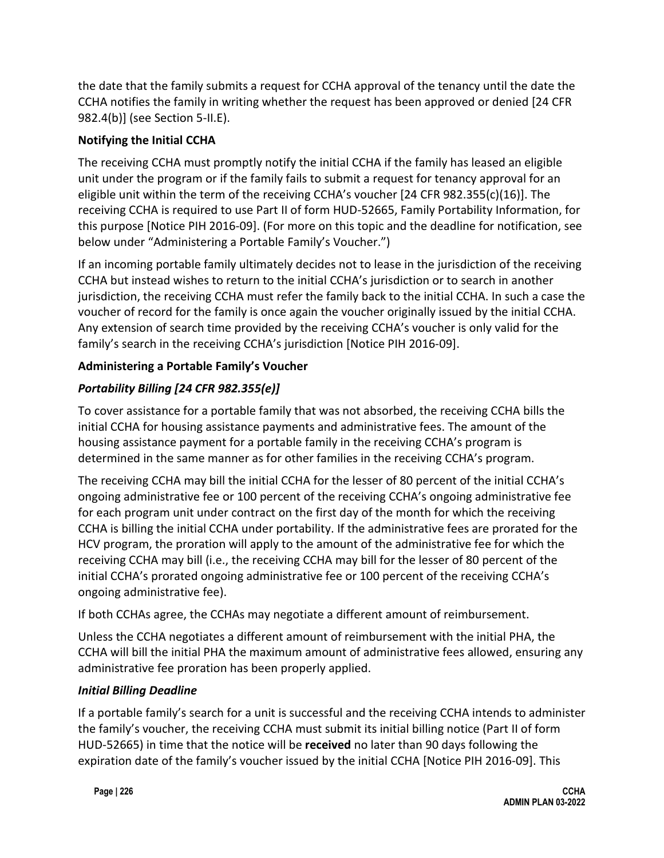the date that the family submits a request for CCHA approval of the tenancy until the date the CCHA notifies the family in writing whether the request has been approved or denied [24 CFR 982.4(b)] (see Section 5-II.E).

# **Notifying the Initial CCHA**

The receiving CCHA must promptly notify the initial CCHA if the family has leased an eligible unit under the program or if the family fails to submit a request for tenancy approval for an eligible unit within the term of the receiving CCHA's voucher [24 CFR 982.355(c)(16)]. The receiving CCHA is required to use Part II of form HUD-52665, Family Portability Information, for this purpose [Notice PIH 2016-09]. (For more on this topic and the deadline for notification, see below under "Administering a Portable Family's Voucher.")

If an incoming portable family ultimately decides not to lease in the jurisdiction of the receiving CCHA but instead wishes to return to the initial CCHA's jurisdiction or to search in another jurisdiction, the receiving CCHA must refer the family back to the initial CCHA. In such a case the voucher of record for the family is once again the voucher originally issued by the initial CCHA. Any extension of search time provided by the receiving CCHA's voucher is only valid for the family's search in the receiving CCHA's jurisdiction [Notice PIH 2016-09].

# **Administering a Portable Family's Voucher**

# *Portability Billing [24 CFR 982.355(e)]*

To cover assistance for a portable family that was not absorbed, the receiving CCHA bills the initial CCHA for housing assistance payments and administrative fees. The amount of the housing assistance payment for a portable family in the receiving CCHA's program is determined in the same manner as for other families in the receiving CCHA's program.

The receiving CCHA may bill the initial CCHA for the lesser of 80 percent of the initial CCHA's ongoing administrative fee or 100 percent of the receiving CCHA's ongoing administrative fee for each program unit under contract on the first day of the month for which the receiving CCHA is billing the initial CCHA under portability. If the administrative fees are prorated for the HCV program, the proration will apply to the amount of the administrative fee for which the receiving CCHA may bill (i.e., the receiving CCHA may bill for the lesser of 80 percent of the initial CCHA's prorated ongoing administrative fee or 100 percent of the receiving CCHA's ongoing administrative fee).

If both CCHAs agree, the CCHAs may negotiate a different amount of reimbursement.

Unless the CCHA negotiates a different amount of reimbursement with the initial PHA, the CCHA will bill the initial PHA the maximum amount of administrative fees allowed, ensuring any administrative fee proration has been properly applied.

### *Initial Billing Deadline*

If a portable family's search for a unit is successful and the receiving CCHA intends to administer the family's voucher, the receiving CCHA must submit its initial billing notice (Part II of form HUD-52665) in time that the notice will be **received** no later than 90 days following the expiration date of the family's voucher issued by the initial CCHA [Notice PIH 2016-09]. This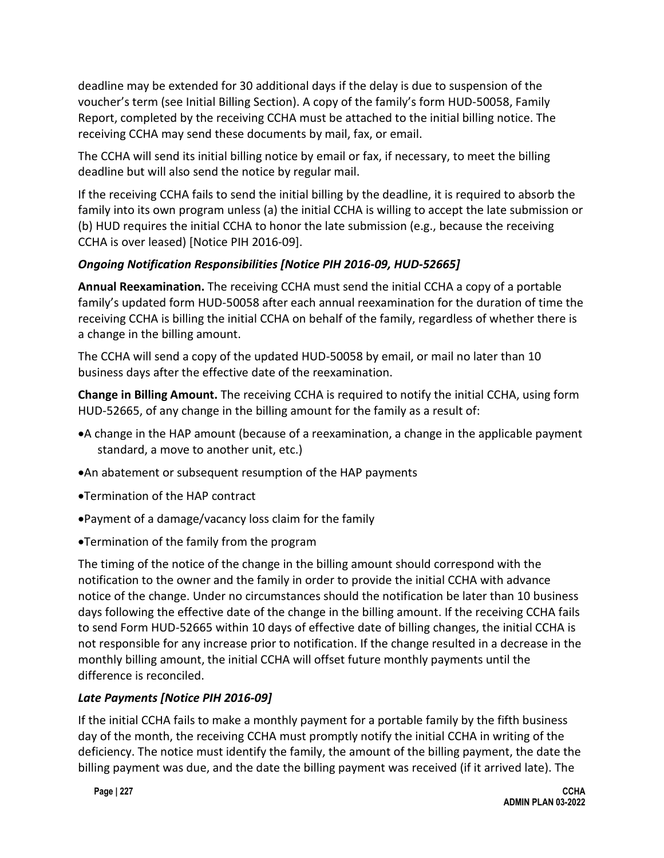deadline may be extended for 30 additional days if the delay is due to suspension of the voucher's term (see Initial Billing Section). A copy of the family's form HUD-50058, Family Report, completed by the receiving CCHA must be attached to the initial billing notice. The receiving CCHA may send these documents by mail, fax, or email.

The CCHA will send its initial billing notice by email or fax, if necessary, to meet the billing deadline but will also send the notice by regular mail.

If the receiving CCHA fails to send the initial billing by the deadline, it is required to absorb the family into its own program unless (a) the initial CCHA is willing to accept the late submission or (b) HUD requires the initial CCHA to honor the late submission (e.g., because the receiving CCHA is over leased) [Notice PIH 2016-09].

### *Ongoing Notification Responsibilities [Notice PIH 2016-09, HUD-52665]*

**Annual Reexamination.** The receiving CCHA must send the initial CCHA a copy of a portable family's updated form HUD-50058 after each annual reexamination for the duration of time the receiving CCHA is billing the initial CCHA on behalf of the family, regardless of whether there is a change in the billing amount.

The CCHA will send a copy of the updated HUD-50058 by email, or mail no later than 10 business days after the effective date of the reexamination.

**Change in Billing Amount.** The receiving CCHA is required to notify the initial CCHA, using form HUD-52665, of any change in the billing amount for the family as a result of:

- •A change in the HAP amount (because of a reexamination, a change in the applicable payment standard, a move to another unit, etc.)
- •An abatement or subsequent resumption of the HAP payments
- •Termination of the HAP contract
- •Payment of a damage/vacancy loss claim for the family
- •Termination of the family from the program

The timing of the notice of the change in the billing amount should correspond with the notification to the owner and the family in order to provide the initial CCHA with advance notice of the change. Under no circumstances should the notification be later than 10 business days following the effective date of the change in the billing amount. If the receiving CCHA fails to send Form HUD-52665 within 10 days of effective date of billing changes, the initial CCHA is not responsible for any increase prior to notification. If the change resulted in a decrease in the monthly billing amount, the initial CCHA will offset future monthly payments until the difference is reconciled.

### *Late Payments [Notice PIH 2016-09]*

If the initial CCHA fails to make a monthly payment for a portable family by the fifth business day of the month, the receiving CCHA must promptly notify the initial CCHA in writing of the deficiency. The notice must identify the family, the amount of the billing payment, the date the billing payment was due, and the date the billing payment was received (if it arrived late). The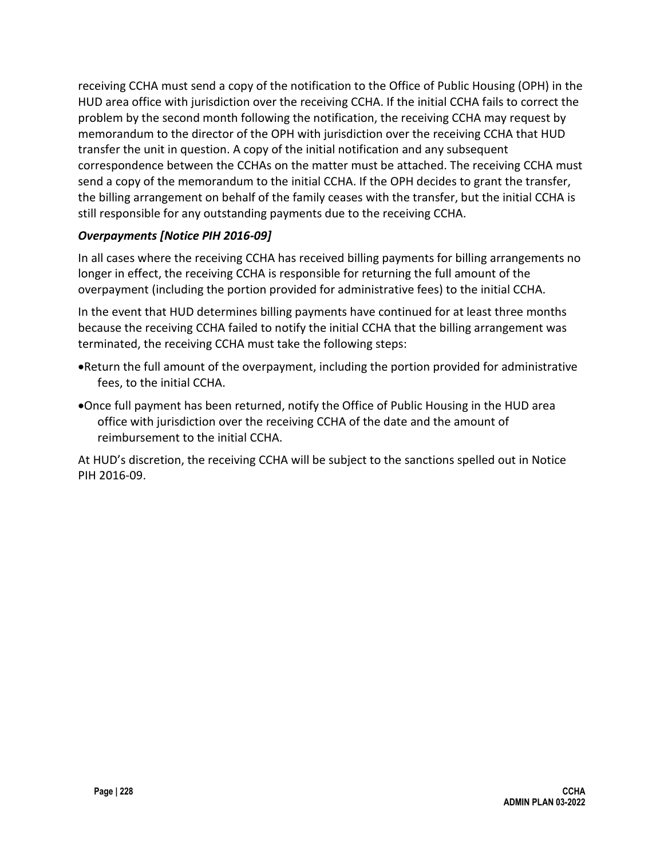receiving CCHA must send a copy of the notification to the Office of Public Housing (OPH) in the HUD area office with jurisdiction over the receiving CCHA. If the initial CCHA fails to correct the problem by the second month following the notification, the receiving CCHA may request by memorandum to the director of the OPH with jurisdiction over the receiving CCHA that HUD transfer the unit in question. A copy of the initial notification and any subsequent correspondence between the CCHAs on the matter must be attached. The receiving CCHA must send a copy of the memorandum to the initial CCHA. If the OPH decides to grant the transfer, the billing arrangement on behalf of the family ceases with the transfer, but the initial CCHA is still responsible for any outstanding payments due to the receiving CCHA.

#### *Overpayments [Notice PIH 2016-09]*

In all cases where the receiving CCHA has received billing payments for billing arrangements no longer in effect, the receiving CCHA is responsible for returning the full amount of the overpayment (including the portion provided for administrative fees) to the initial CCHA.

In the event that HUD determines billing payments have continued for at least three months because the receiving CCHA failed to notify the initial CCHA that the billing arrangement was terminated, the receiving CCHA must take the following steps:

- •Return the full amount of the overpayment, including the portion provided for administrative fees, to the initial CCHA.
- •Once full payment has been returned, notify the Office of Public Housing in the HUD area office with jurisdiction over the receiving CCHA of the date and the amount of reimbursement to the initial CCHA.

At HUD's discretion, the receiving CCHA will be subject to the sanctions spelled out in Notice PIH 2016-09.